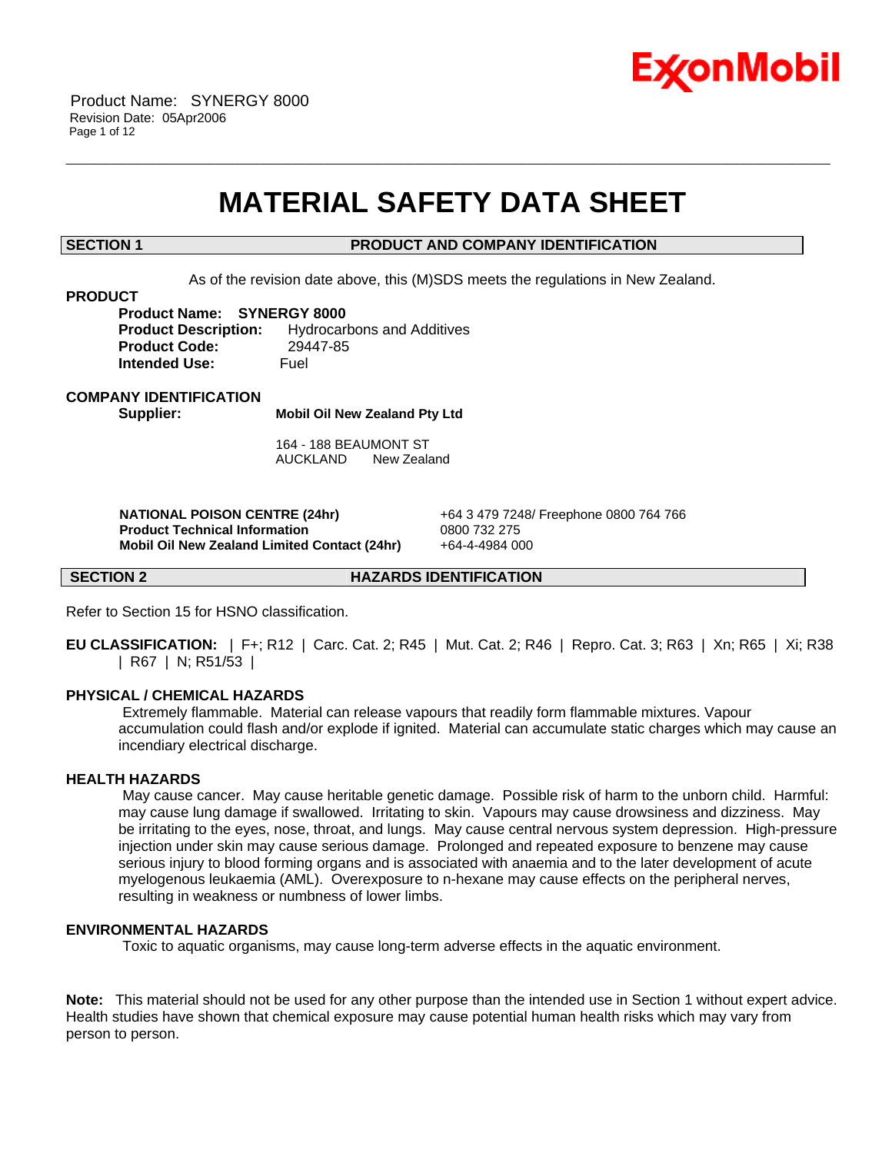

# **MATERIAL SAFETY DATA SHEET**

\_\_\_\_\_\_\_\_\_\_\_\_\_\_\_\_\_\_\_\_\_\_\_\_\_\_\_\_\_\_\_\_\_\_\_\_\_\_\_\_\_\_\_\_\_\_\_\_\_\_\_\_\_\_\_\_\_\_\_\_\_\_\_\_\_\_\_\_\_\_\_\_\_\_\_\_\_\_\_\_\_\_\_\_\_\_\_\_\_\_\_\_\_\_\_\_\_\_\_\_\_\_\_\_\_\_\_\_\_\_\_\_\_\_\_\_\_\_

### **SECTION 1 PRODUCT AND COMPANY IDENTIFICATION**

As of the revision date above, this (M)SDS meets the regulations in New Zealand.

### **PRODUCT**

**Product Name: SYNERGY 8000 Product Description:** Hydrocarbons and Additives **Product Code:** 29447-85 **Intended Use:** Fuel

### **COMPANY IDENTIFICATION**

**Supplier: Mobil Oil New Zealand Pty Ltd**

164 - 188 BEAUMONT ST AUCKLAND New Zealand

 **NATIONAL POISON CENTRE (24hr)** +64 3 479 7248/ Freephone 0800 764 766  **Product Technical Information** 0800 732 275  **Mobil Oil New Zealand Limited Contact (24hr)** +64-4-4984 000

**SECTION 2 HAZARDS IDENTIFICATION**

Refer to Section 15 for HSNO classification.

**EU CLASSIFICATION:** | F+; R12 | Carc. Cat. 2; R45 | Mut. Cat. 2; R46 | Repro. Cat. 3; R63 | Xn; R65 | Xi; R38 | R67 | N; R51/53 |

### **PHYSICAL / CHEMICAL HAZARDS**

 Extremely flammable. Material can release vapours that readily form flammable mixtures. Vapour accumulation could flash and/or explode if ignited. Material can accumulate static charges which may cause an incendiary electrical discharge.

# **HEALTH HAZARDS**

 May cause cancer. May cause heritable genetic damage. Possible risk of harm to the unborn child. Harmful: may cause lung damage if swallowed. Irritating to skin. Vapours may cause drowsiness and dizziness. May be irritating to the eyes, nose, throat, and lungs. May cause central nervous system depression. High-pressure injection under skin may cause serious damage. Prolonged and repeated exposure to benzene may cause serious injury to blood forming organs and is associated with anaemia and to the later development of acute myelogenous leukaemia (AML). Overexposure to n-hexane may cause effects on the peripheral nerves, resulting in weakness or numbness of lower limbs.

# **ENVIRONMENTAL HAZARDS**

Toxic to aquatic organisms, may cause long-term adverse effects in the aquatic environment.

**Note:** This material should not be used for any other purpose than the intended use in Section 1 without expert advice. Health studies have shown that chemical exposure may cause potential human health risks which may vary from person to person.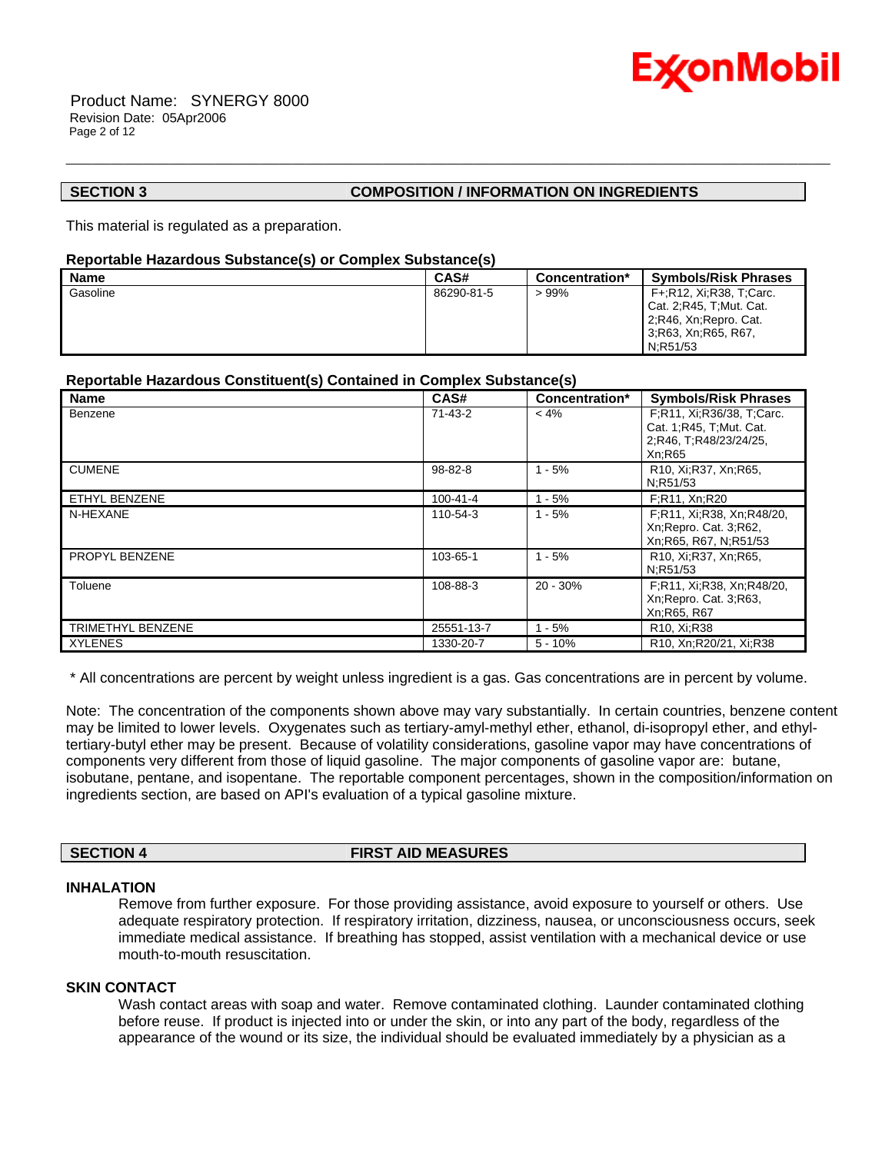

 Product Name: SYNERGY 8000 Revision Date: 05Apr2006 Page 2 of 12

# **SECTION 3 COMPOSITION / INFORMATION ON INGREDIENTS**

This material is regulated as a preparation.

# **Reportable Hazardous Substance(s) or Complex Substance(s)**

| <b>Name</b> | CAS#       | Concentration* | <b>Symbols/Risk Phrases</b>                                                                          |
|-------------|------------|----------------|------------------------------------------------------------------------------------------------------|
| Gasoline    | 86290-81-5 | $>99\%$        | F+:R12, Xi:R38, T:Carc.<br>Cat. 2; R45, T; Mut. Cat.<br>2;R46, Xn;Repro. Cat.<br>3;R63, Xn;R65, R67, |
|             |            |                | N:R51/53                                                                                             |

\_\_\_\_\_\_\_\_\_\_\_\_\_\_\_\_\_\_\_\_\_\_\_\_\_\_\_\_\_\_\_\_\_\_\_\_\_\_\_\_\_\_\_\_\_\_\_\_\_\_\_\_\_\_\_\_\_\_\_\_\_\_\_\_\_\_\_\_\_\_\_\_\_\_\_\_\_\_\_\_\_\_\_\_\_\_\_\_\_\_\_\_\_\_\_\_\_\_\_\_\_\_\_\_\_\_\_\_\_\_\_\_\_\_\_\_\_\_

# **Reportable Hazardous Constituent(s) Contained in Complex Substance(s)**

| <b>Name</b>              | CAS#          | Concentration* | <b>Symbols/Risk Phrases</b>                                                                 |
|--------------------------|---------------|----------------|---------------------------------------------------------------------------------------------|
| Benzene                  | $71-43-2$     | $< 4\%$        | F:R11, Xi:R36/38, T:Carc.<br>Cat. 1; R45, T; Mut. Cat.<br>2;R46, T;R48/23/24/25,<br>Xn; R65 |
| <b>CUMENE</b>            | $98 - 82 - 8$ | $1 - 5%$       | R10, Xi; R37, Xn; R65,<br>N:R51/53                                                          |
| ETHYL BENZENE            | 100-41-4      | $1 - 5%$       | F;R11, Xn;R20                                                                               |
| N-HEXANE                 | 110-54-3      | $1 - 5%$       | F;R11, Xi;R38, Xn;R48/20,<br>Xn; Repro. Cat. 3; R62,<br>Xn; R65, R67, N; R51/53             |
| PROPYL BENZENE           | 103-65-1      | $1 - 5%$       | R <sub>10</sub> , Xi;R <sub>37</sub> , Xn;R <sub>65</sub> ,<br>N:R51/53                     |
| Toluene                  | 108-88-3      | $20 - 30%$     | F;R11, Xi;R38, Xn;R48/20,<br>Xn; Repro. Cat. 3; R63.<br>Xn; R65, R67                        |
| <b>TRIMETHYL BENZENE</b> | 25551-13-7    | $1 - 5%$       | R <sub>10</sub> , Xi;R <sub>38</sub>                                                        |
| <b>XYLENES</b>           | 1330-20-7     | $5 - 10%$      | R <sub>10</sub> , Xn:R <sub>20</sub> /21, Xi:R <sub>38</sub>                                |

\* All concentrations are percent by weight unless ingredient is a gas. Gas concentrations are in percent by volume.

Note: The concentration of the components shown above may vary substantially. In certain countries, benzene content may be limited to lower levels. Oxygenates such as tertiary-amyl-methyl ether, ethanol, di-isopropyl ether, and ethyltertiary-butyl ether may be present. Because of volatility considerations, gasoline vapor may have concentrations of components very different from those of liquid gasoline. The major components of gasoline vapor are: butane, isobutane, pentane, and isopentane. The reportable component percentages, shown in the composition/information on ingredients section, are based on API's evaluation of a typical gasoline mixture.

# **SECTION 4 FIRST AID MEASURES**

# **INHALATION**

Remove from further exposure. For those providing assistance, avoid exposure to yourself or others. Use adequate respiratory protection. If respiratory irritation, dizziness, nausea, or unconsciousness occurs, seek immediate medical assistance. If breathing has stopped, assist ventilation with a mechanical device or use mouth-to-mouth resuscitation.

# **SKIN CONTACT**

Wash contact areas with soap and water. Remove contaminated clothing. Launder contaminated clothing before reuse. If product is injected into or under the skin, or into any part of the body, regardless of the appearance of the wound or its size, the individual should be evaluated immediately by a physician as a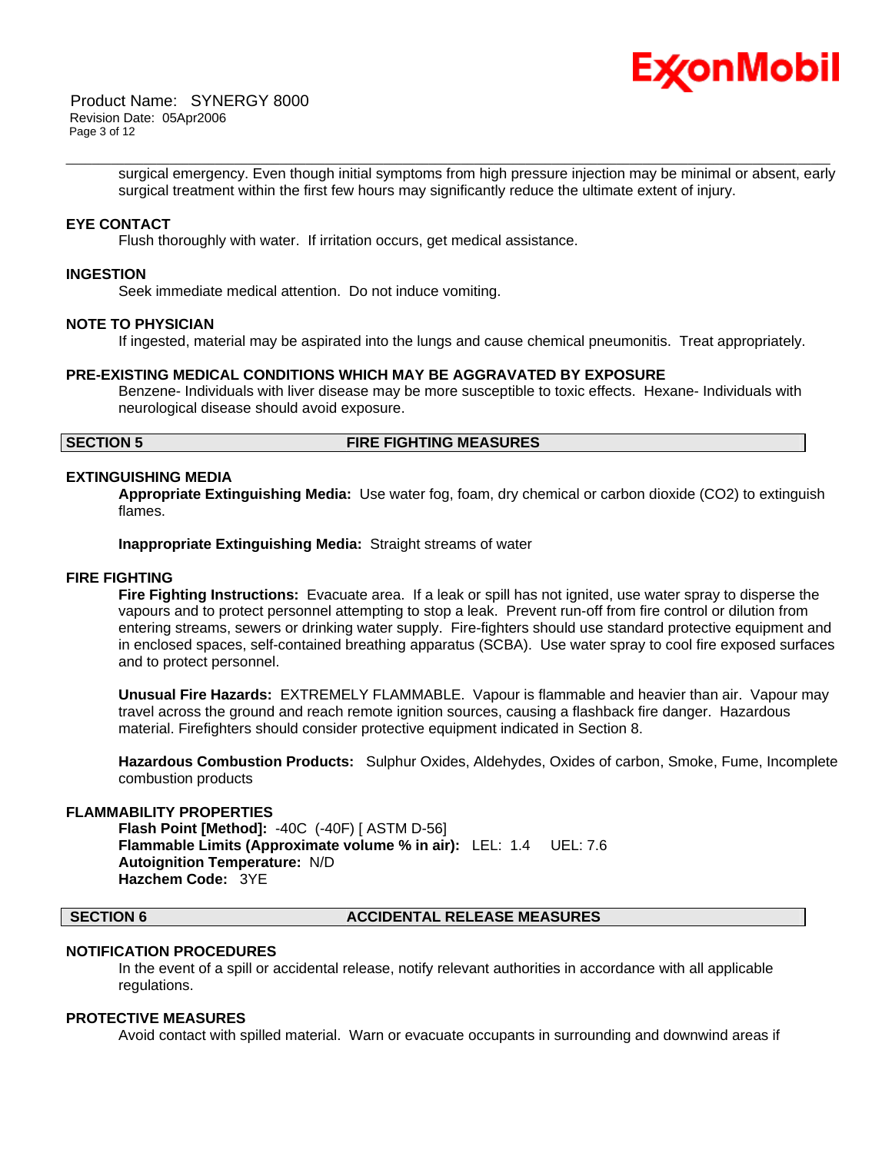

 Product Name: SYNERGY 8000 Revision Date: 05Apr2006 Page 3 of 12

> surgical emergency. Even though initial symptoms from high pressure injection may be minimal or absent, early surgical treatment within the first few hours may significantly reduce the ultimate extent of injury.

\_\_\_\_\_\_\_\_\_\_\_\_\_\_\_\_\_\_\_\_\_\_\_\_\_\_\_\_\_\_\_\_\_\_\_\_\_\_\_\_\_\_\_\_\_\_\_\_\_\_\_\_\_\_\_\_\_\_\_\_\_\_\_\_\_\_\_\_\_\_\_\_\_\_\_\_\_\_\_\_\_\_\_\_\_\_\_\_\_\_\_\_\_\_\_\_\_\_\_\_\_\_\_\_\_\_\_\_\_\_\_\_\_\_\_\_\_\_

# **EYE CONTACT**

Flush thoroughly with water. If irritation occurs, get medical assistance.

#### **INGESTION**

Seek immediate medical attention. Do not induce vomiting.

#### **NOTE TO PHYSICIAN**

If ingested, material may be aspirated into the lungs and cause chemical pneumonitis. Treat appropriately.

#### **PRE-EXISTING MEDICAL CONDITIONS WHICH MAY BE AGGRAVATED BY EXPOSURE**

Benzene- Individuals with liver disease may be more susceptible to toxic effects. Hexane- Individuals with neurological disease should avoid exposure.

#### **SECTION 5 FIRE FIGHTING MEASURES**

#### **EXTINGUISHING MEDIA**

**Appropriate Extinguishing Media:** Use water fog, foam, dry chemical or carbon dioxide (CO2) to extinguish flames.

**Inappropriate Extinguishing Media:** Straight streams of water

#### **FIRE FIGHTING**

**Fire Fighting Instructions:** Evacuate area. If a leak or spill has not ignited, use water spray to disperse the vapours and to protect personnel attempting to stop a leak. Prevent run-off from fire control or dilution from entering streams, sewers or drinking water supply. Fire-fighters should use standard protective equipment and in enclosed spaces, self-contained breathing apparatus (SCBA). Use water spray to cool fire exposed surfaces and to protect personnel.

**Unusual Fire Hazards:** EXTREMELY FLAMMABLE. Vapour is flammable and heavier than air. Vapour may travel across the ground and reach remote ignition sources, causing a flashback fire danger. Hazardous material. Firefighters should consider protective equipment indicated in Section 8.

**Hazardous Combustion Products:** Sulphur Oxides, Aldehydes, Oxides of carbon, Smoke, Fume, Incomplete combustion products

### **FLAMMABILITY PROPERTIES**

**Flash Point [Method]:** -40C (-40F) [ ASTM D-56] **Flammable Limits (Approximate volume % in air):** LEL: 1.4 UEL: 7.6 **Autoignition Temperature:** N/D **Hazchem Code:** 3YE

#### **SECTION 6 ACCIDENTAL RELEASE MEASURES**

### **NOTIFICATION PROCEDURES**

In the event of a spill or accidental release, notify relevant authorities in accordance with all applicable regulations.

#### **PROTECTIVE MEASURES**

Avoid contact with spilled material. Warn or evacuate occupants in surrounding and downwind areas if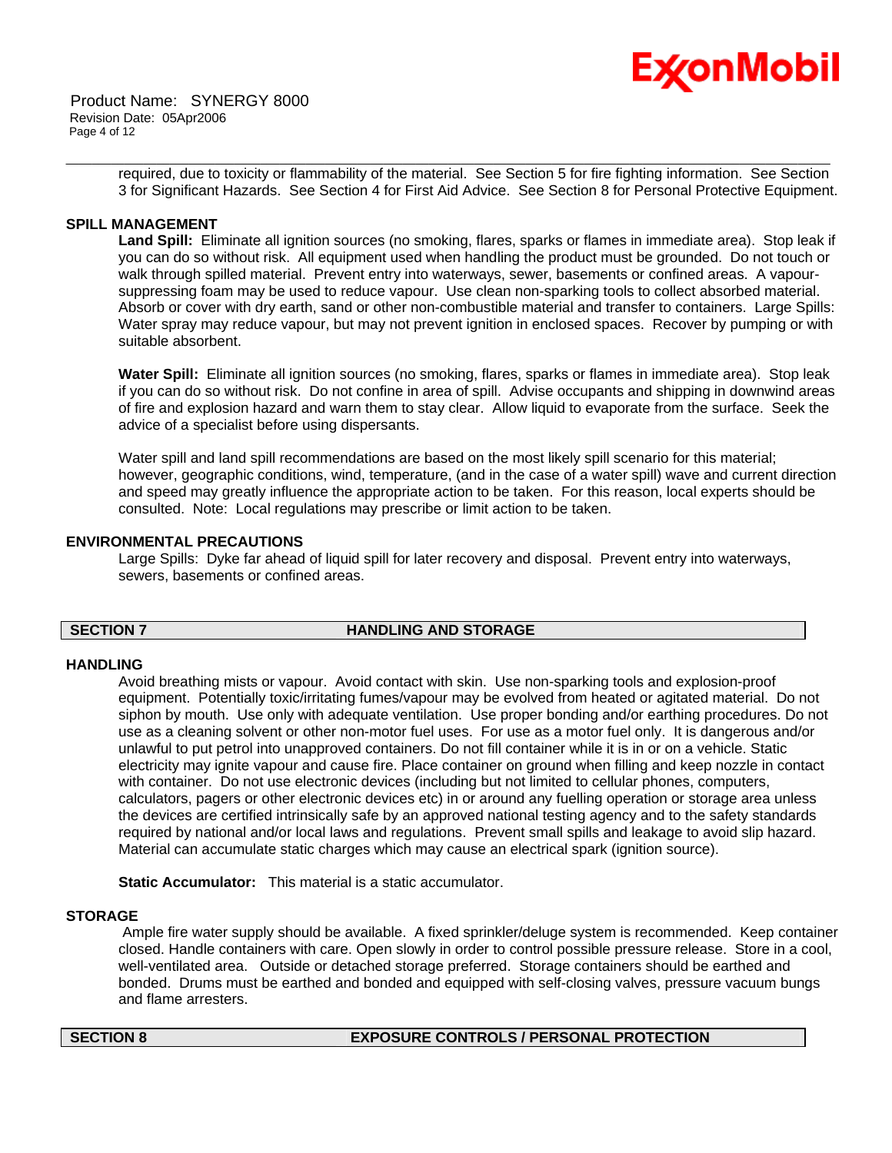

 Product Name: SYNERGY 8000 Revision Date: 05Apr2006 Page 4 of 12

> required, due to toxicity or flammability of the material. See Section 5 for fire fighting information. See Section 3 for Significant Hazards. See Section 4 for First Aid Advice. See Section 8 for Personal Protective Equipment.

\_\_\_\_\_\_\_\_\_\_\_\_\_\_\_\_\_\_\_\_\_\_\_\_\_\_\_\_\_\_\_\_\_\_\_\_\_\_\_\_\_\_\_\_\_\_\_\_\_\_\_\_\_\_\_\_\_\_\_\_\_\_\_\_\_\_\_\_\_\_\_\_\_\_\_\_\_\_\_\_\_\_\_\_\_\_\_\_\_\_\_\_\_\_\_\_\_\_\_\_\_\_\_\_\_\_\_\_\_\_\_\_\_\_\_\_\_\_

# **SPILL MANAGEMENT**

**Land Spill:** Eliminate all ignition sources (no smoking, flares, sparks or flames in immediate area). Stop leak if you can do so without risk. All equipment used when handling the product must be grounded. Do not touch or walk through spilled material. Prevent entry into waterways, sewer, basements or confined areas. A vapoursuppressing foam may be used to reduce vapour. Use clean non-sparking tools to collect absorbed material. Absorb or cover with dry earth, sand or other non-combustible material and transfer to containers. Large Spills: Water spray may reduce vapour, but may not prevent ignition in enclosed spaces. Recover by pumping or with suitable absorbent.

**Water Spill:** Eliminate all ignition sources (no smoking, flares, sparks or flames in immediate area). Stop leak if you can do so without risk. Do not confine in area of spill. Advise occupants and shipping in downwind areas of fire and explosion hazard and warn them to stay clear. Allow liquid to evaporate from the surface. Seek the advice of a specialist before using dispersants.

Water spill and land spill recommendations are based on the most likely spill scenario for this material; however, geographic conditions, wind, temperature, (and in the case of a water spill) wave and current direction and speed may greatly influence the appropriate action to be taken. For this reason, local experts should be consulted. Note: Local regulations may prescribe or limit action to be taken.

#### **ENVIRONMENTAL PRECAUTIONS**

Large Spills: Dyke far ahead of liquid spill for later recovery and disposal. Prevent entry into waterways, sewers, basements or confined areas.

# **SECTION 7 HANDLING AND STORAGE**

#### **HANDLING**

Avoid breathing mists or vapour. Avoid contact with skin. Use non-sparking tools and explosion-proof equipment. Potentially toxic/irritating fumes/vapour may be evolved from heated or agitated material. Do not siphon by mouth. Use only with adequate ventilation. Use proper bonding and/or earthing procedures. Do not use as a cleaning solvent or other non-motor fuel uses. For use as a motor fuel only. It is dangerous and/or unlawful to put petrol into unapproved containers. Do not fill container while it is in or on a vehicle. Static electricity may ignite vapour and cause fire. Place container on ground when filling and keep nozzle in contact with container. Do not use electronic devices (including but not limited to cellular phones, computers, calculators, pagers or other electronic devices etc) in or around any fuelling operation or storage area unless the devices are certified intrinsically safe by an approved national testing agency and to the safety standards required by national and/or local laws and regulations. Prevent small spills and leakage to avoid slip hazard. Material can accumulate static charges which may cause an electrical spark (ignition source).

**Static Accumulator:** This material is a static accumulator.

#### **STORAGE**

 Ample fire water supply should be available. A fixed sprinkler/deluge system is recommended. Keep container closed. Handle containers with care. Open slowly in order to control possible pressure release. Store in a cool, well-ventilated area. Outside or detached storage preferred. Storage containers should be earthed and bonded. Drums must be earthed and bonded and equipped with self-closing valves, pressure vacuum bungs and flame arresters.

### **SECTION 8 EXPOSURE CONTROLS / PERSONAL PROTECTION**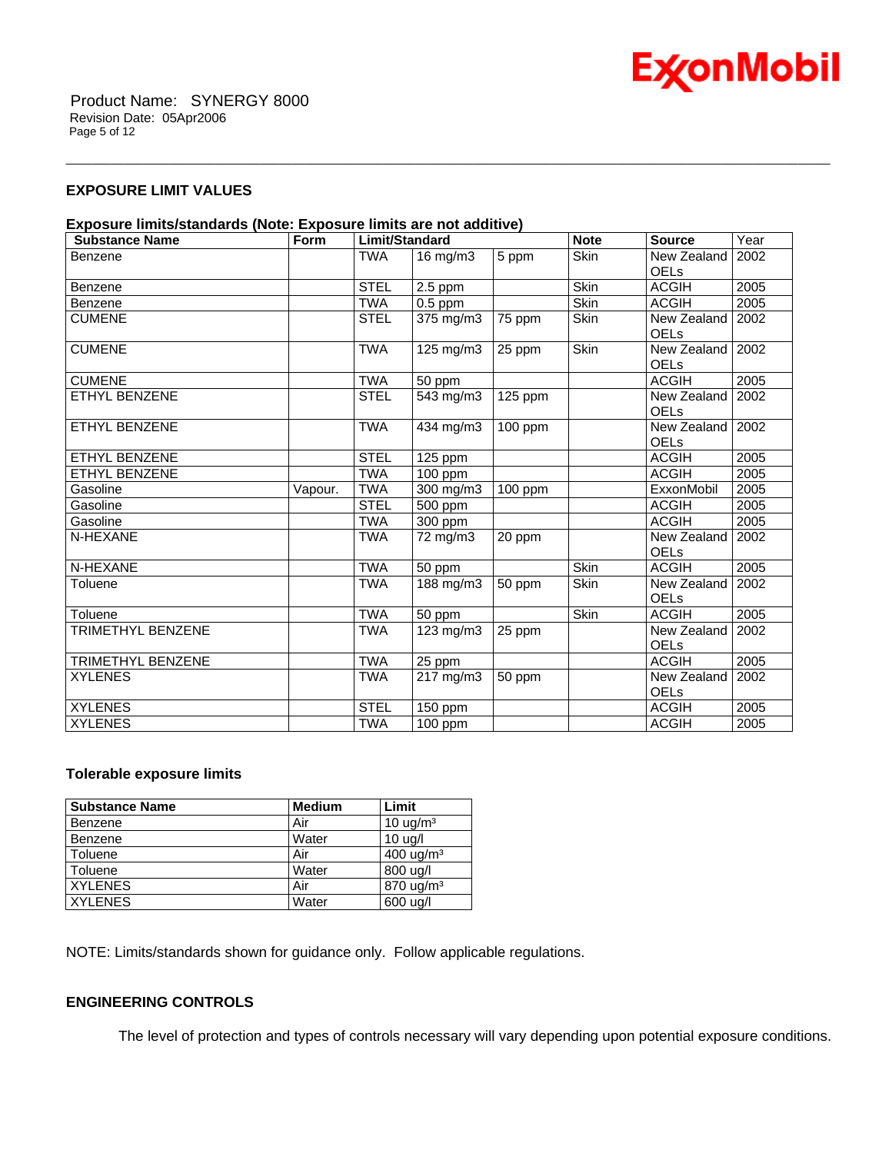

# **EXPOSURE LIMIT VALUES**

# **Exposure limits/standards (Note: Exposure limits are not additive)**

| <b>Substance Name</b>    | Form    | <b>Limit/Standard</b> |                      | <b>Note</b>          | <b>Source</b> | Year                              |      |
|--------------------------|---------|-----------------------|----------------------|----------------------|---------------|-----------------------------------|------|
| Benzene                  |         | <b>TWA</b>            | 16 mg/m $3$          | 5 ppm                | <b>Skin</b>   | New Zealand<br><b>OELs</b>        | 2002 |
| Benzene                  |         | <b>STEL</b>           | $2.5$ ppm            |                      | <b>Skin</b>   | <b>ACGIH</b>                      | 2005 |
| Benzene                  |         | <b>TWA</b>            | $0.5$ ppm            |                      | <b>Skin</b>   | <b>ACGIH</b>                      | 2005 |
| <b>CUMENE</b>            |         | <b>STEL</b>           | 375 mg/m3            | 75 ppm               | <b>Skin</b>   | New Zealand<br><b>OELs</b>        | 2002 |
| <b>CUMENE</b>            |         | <b>TWA</b>            | $125 \text{ mg/m}$ 3 | 25 ppm               | <b>Skin</b>   | New Zealand   2002<br><b>OELs</b> |      |
| <b>CUMENE</b>            |         | <b>TWA</b>            | $50$ ppm             |                      |               | <b>ACGIH</b>                      | 2005 |
| ETHYL BENZENE            |         | <b>STEL</b>           | 543 mg/m3            | $\overline{1}25$ ppm |               | New Zealand<br><b>OELs</b>        | 2002 |
| <b>ETHYL BENZENE</b>     |         | <b>TWA</b>            | 434 mg/m3            | 100 ppm              |               | New Zealand   2002<br><b>OELs</b> |      |
| ETHYL BENZENE            |         | <b>STEL</b>           | $125$ ppm            |                      |               | <b>ACGIH</b>                      | 2005 |
| <b>ETHYL BENZENE</b>     |         | <b>TWA</b>            | $100$ ppm            |                      |               | <b>ACGIH</b>                      | 2005 |
| Gasoline                 | Vapour. | <b>TWA</b>            | 300 mg/m3            | $100$ ppm            |               | ExxonMobil                        | 2005 |
| Gasoline                 |         | <b>STEL</b>           | $\overline{500}$ ppm |                      |               | <b>ACGIH</b>                      | 2005 |
| Gasoline                 |         | <b>TWA</b>            | 300 ppm              |                      |               | <b>ACGIH</b>                      | 2005 |
| N-HEXANE                 |         | <b>TWA</b>            | 72 mg/m3             | 20 ppm               |               | New Zealand<br><b>OELs</b>        | 2002 |
| N-HEXANE                 |         | <b>TWA</b>            | 50 ppm               |                      | <b>Skin</b>   | <b>ACGIH</b>                      | 2005 |
| Toluene                  |         | <b>TWA</b>            | 188 mg/m3            | 50 ppm               | <b>Skin</b>   | New Zealand<br><b>OELs</b>        | 2002 |
| Toluene                  |         | <b>TWA</b>            | 50 ppm               |                      | <b>Skin</b>   | <b>ACGIH</b>                      | 2005 |
| <b>TRIMETHYL BENZENE</b> |         | <b>TWA</b>            | 123 mg/m3            | 25 ppm               |               | New Zealand<br><b>OELs</b>        | 2002 |
| TRIMETHYL BENZENE        |         | <b>TWA</b>            | 25 ppm               |                      |               | <b>ACGIH</b>                      | 2005 |
| <b>XYLENES</b>           |         | <b>TWA</b>            | $217 \text{ mg/m}$   | 50 ppm               |               | New Zealand<br><b>OELs</b>        | 2002 |
| <b>XYLENES</b>           |         | <b>STEL</b>           | 150 ppm              |                      |               | <b>ACGIH</b>                      | 2005 |
| <b>XYLENES</b>           |         | <b>TWA</b>            | $100$ ppm            |                      |               | <b>ACGIH</b>                      | 2005 |

\_\_\_\_\_\_\_\_\_\_\_\_\_\_\_\_\_\_\_\_\_\_\_\_\_\_\_\_\_\_\_\_\_\_\_\_\_\_\_\_\_\_\_\_\_\_\_\_\_\_\_\_\_\_\_\_\_\_\_\_\_\_\_\_\_\_\_\_\_\_\_\_\_\_\_\_\_\_\_\_\_\_\_\_\_\_\_\_\_\_\_\_\_\_\_\_\_\_\_\_\_\_\_\_\_\_\_\_\_\_\_\_\_\_\_\_\_\_

# **Tolerable exposure limits**

| <b>Substance Name</b> | <b>Medium</b> | Limit                 |
|-----------------------|---------------|-----------------------|
| Benzene               | Air           | $10 \text{ uq/m}^3$   |
| Benzene               | Water         | 10 <sub>uq</sub>      |
| Toluene               | Air           | $400 \text{ u}g/m^3$  |
| Toluene               | Water         | 800 ug/l              |
| <b>XYLENES</b>        | Air           | 870 ug/m <sup>3</sup> |
| <b>XYLENES</b>        | Water         | 600 ug/l              |

NOTE: Limits/standards shown for guidance only. Follow applicable regulations.

# **ENGINEERING CONTROLS**

The level of protection and types of controls necessary will vary depending upon potential exposure conditions.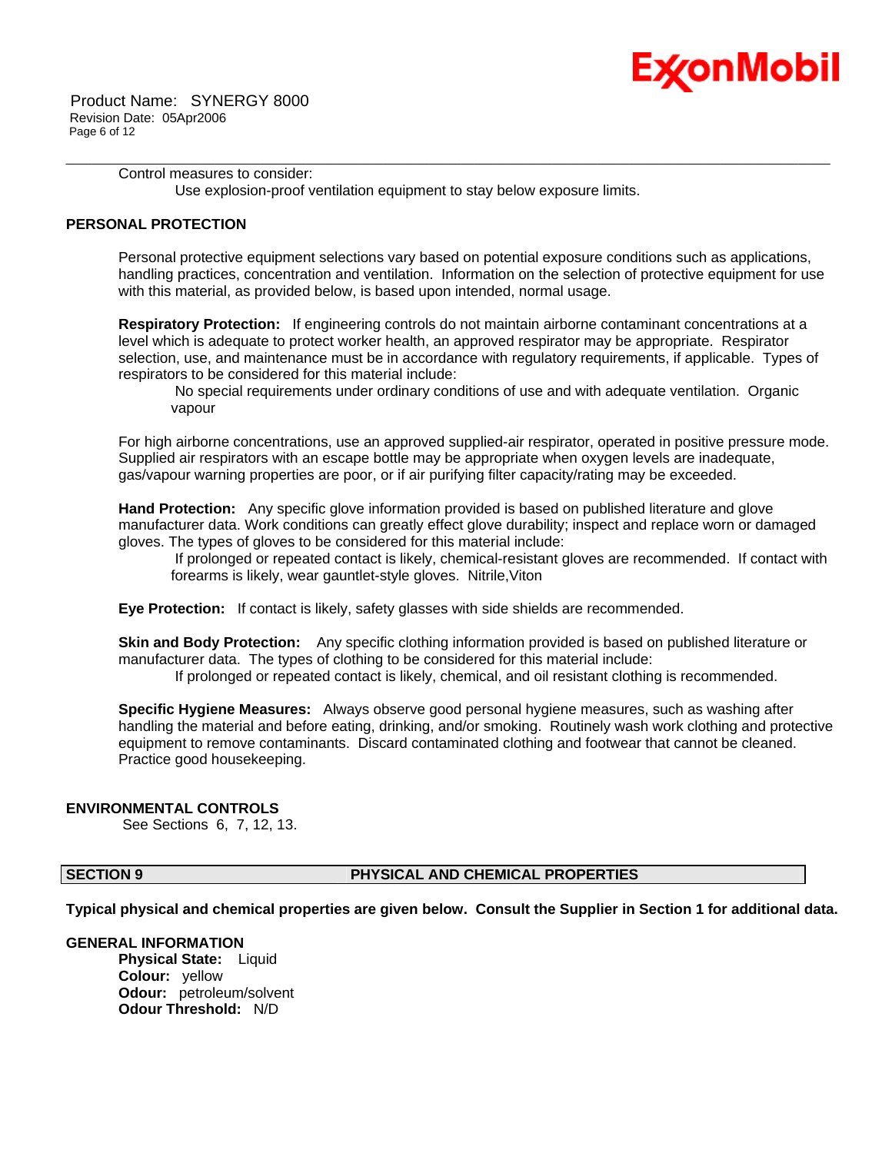

Control measures to consider: Use explosion-proof ventilation equipment to stay below exposure limits.

# **PERSONAL PROTECTION**

Personal protective equipment selections vary based on potential exposure conditions such as applications, handling practices, concentration and ventilation. Information on the selection of protective equipment for use with this material, as provided below, is based upon intended, normal usage.

\_\_\_\_\_\_\_\_\_\_\_\_\_\_\_\_\_\_\_\_\_\_\_\_\_\_\_\_\_\_\_\_\_\_\_\_\_\_\_\_\_\_\_\_\_\_\_\_\_\_\_\_\_\_\_\_\_\_\_\_\_\_\_\_\_\_\_\_\_\_\_\_\_\_\_\_\_\_\_\_\_\_\_\_\_\_\_\_\_\_\_\_\_\_\_\_\_\_\_\_\_\_\_\_\_\_\_\_\_\_\_\_\_\_\_\_\_\_

**Respiratory Protection:** If engineering controls do not maintain airborne contaminant concentrations at a level which is adequate to protect worker health, an approved respirator may be appropriate. Respirator selection, use, and maintenance must be in accordance with regulatory requirements, if applicable. Types of respirators to be considered for this material include:

 No special requirements under ordinary conditions of use and with adequate ventilation. Organic vapour

For high airborne concentrations, use an approved supplied-air respirator, operated in positive pressure mode. Supplied air respirators with an escape bottle may be appropriate when oxygen levels are inadequate, gas/vapour warning properties are poor, or if air purifying filter capacity/rating may be exceeded.

**Hand Protection:** Any specific glove information provided is based on published literature and glove manufacturer data. Work conditions can greatly effect glove durability; inspect and replace worn or damaged gloves. The types of gloves to be considered for this material include:

 If prolonged or repeated contact is likely, chemical-resistant gloves are recommended. If contact with forearms is likely, wear gauntlet-style gloves. Nitrile,Viton

**Eye Protection:** If contact is likely, safety glasses with side shields are recommended.

**Skin and Body Protection:** Any specific clothing information provided is based on published literature or manufacturer data. The types of clothing to be considered for this material include: If prolonged or repeated contact is likely, chemical, and oil resistant clothing is recommended.

**Specific Hygiene Measures:** Always observe good personal hygiene measures, such as washing after handling the material and before eating, drinking, and/or smoking. Routinely wash work clothing and protective equipment to remove contaminants. Discard contaminated clothing and footwear that cannot be cleaned. Practice good housekeeping.

# **ENVIRONMENTAL CONTROLS**

See Sections 6, 7, 12, 13.

# **SECTION 9 PHYSICAL AND CHEMICAL PROPERTIES**

**Typical physical and chemical properties are given below. Consult the Supplier in Section 1 for additional data.**

# **GENERAL INFORMATION**

**Physical State:** Liquid **Colour:** yellow **Odour:** petroleum/solvent **Odour Threshold:** N/D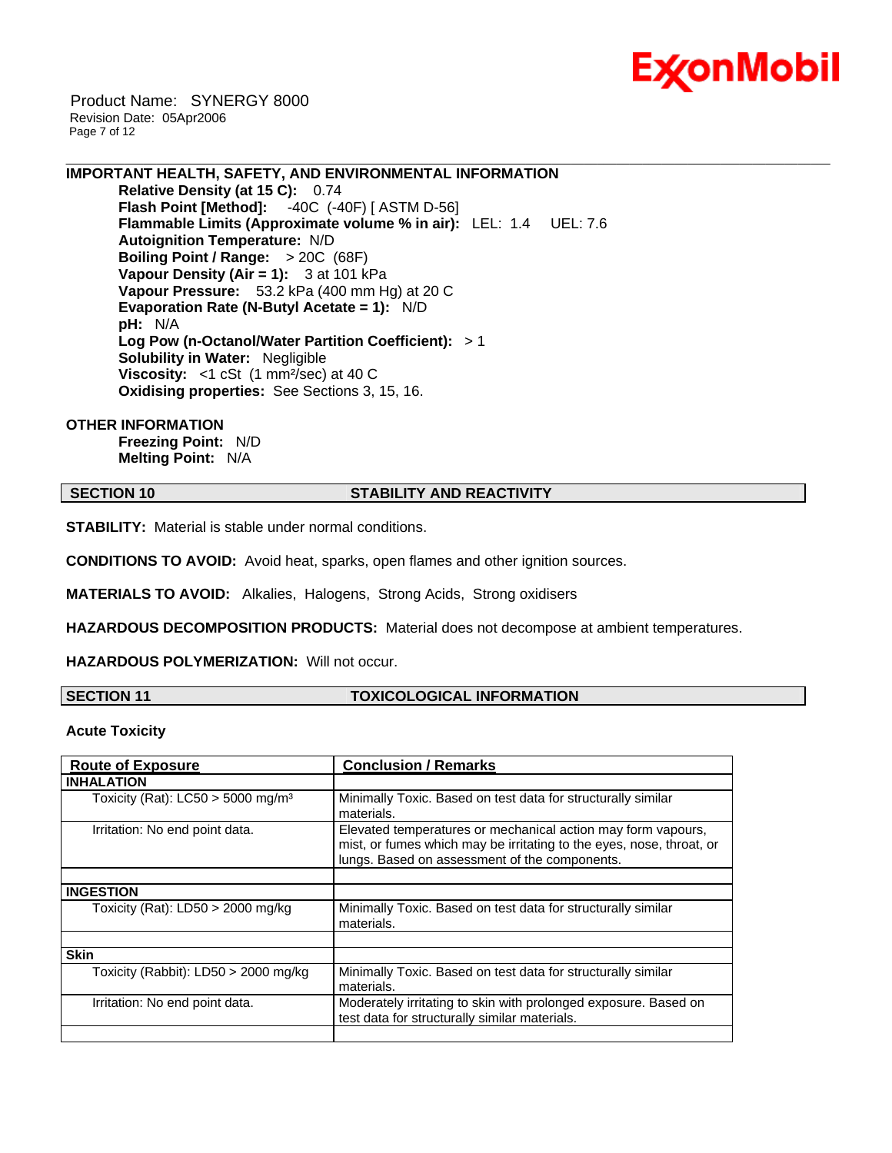

 Product Name: SYNERGY 8000 Revision Date: 05Apr2006 Page 7 of 12

### **IMPORTANT HEALTH, SAFETY, AND ENVIRONMENTAL INFORMATION**

**Relative Density (at 15 C):** 0.74 **Flash Point [Method]:** -40C (-40F) [ ASTM D-56] **Flammable Limits (Approximate volume % in air):** LEL: 1.4 UEL: 7.6 **Autoignition Temperature:** N/D **Boiling Point / Range:** > 20C (68F) **Vapour Density (Air = 1):** 3 at 101 kPa **Vapour Pressure:** 53.2 kPa (400 mm Hg) at 20 C **Evaporation Rate (N-Butyl Acetate = 1):** N/D **pH:** N/A **Log Pow (n-Octanol/Water Partition Coefficient):** > 1 **Solubility in Water:** Negligible **Viscosity:** <1 cSt (1 mm<sup>2</sup>/sec) at 40 C **Oxidising properties:** See Sections 3, 15, 16.

# **OTHER INFORMATION**

**Freezing Point:** N/D **Melting Point:** N/A

### **SECTION 10 STABILITY AND REACTIVITY**

\_\_\_\_\_\_\_\_\_\_\_\_\_\_\_\_\_\_\_\_\_\_\_\_\_\_\_\_\_\_\_\_\_\_\_\_\_\_\_\_\_\_\_\_\_\_\_\_\_\_\_\_\_\_\_\_\_\_\_\_\_\_\_\_\_\_\_\_\_\_\_\_\_\_\_\_\_\_\_\_\_\_\_\_\_\_\_\_\_\_\_\_\_\_\_\_\_\_\_\_\_\_\_\_\_\_\_\_\_\_\_\_\_\_\_\_\_\_

**STABILITY:** Material is stable under normal conditions.

**CONDITIONS TO AVOID:** Avoid heat, sparks, open flames and other ignition sources.

**MATERIALS TO AVOID:** Alkalies, Halogens, Strong Acids, Strong oxidisers

**HAZARDOUS DECOMPOSITION PRODUCTS:** Material does not decompose at ambient temperatures.

**HAZARDOUS POLYMERIZATION:** Will not occur.

**SECTION 11 TOXICOLOGICAL INFORMATION**

### **Acute Toxicity**

| <b>Route of Exposure</b>                        | <b>Conclusion / Remarks</b>                                                                                                                                                           |
|-------------------------------------------------|---------------------------------------------------------------------------------------------------------------------------------------------------------------------------------------|
| <b>INHALATION</b>                               |                                                                                                                                                                                       |
| Toxicity (Rat): $LC50 > 5000$ mg/m <sup>3</sup> | Minimally Toxic. Based on test data for structurally similar<br>materials.                                                                                                            |
| Irritation: No end point data.                  | Elevated temperatures or mechanical action may form vapours,<br>mist, or fumes which may be irritating to the eyes, nose, throat, or<br>lungs. Based on assessment of the components. |
|                                                 |                                                                                                                                                                                       |
| <b>INGESTION</b>                                |                                                                                                                                                                                       |
| Toxicity (Rat): $LD50 > 2000$ mg/kg             | Minimally Toxic. Based on test data for structurally similar<br>materials.                                                                                                            |
|                                                 |                                                                                                                                                                                       |
| <b>Skin</b>                                     |                                                                                                                                                                                       |
| Toxicity (Rabbit): LD50 > 2000 mg/kg            | Minimally Toxic. Based on test data for structurally similar<br>materials.                                                                                                            |
| Irritation: No end point data.                  | Moderately irritating to skin with prolonged exposure. Based on<br>test data for structurally similar materials.                                                                      |
|                                                 |                                                                                                                                                                                       |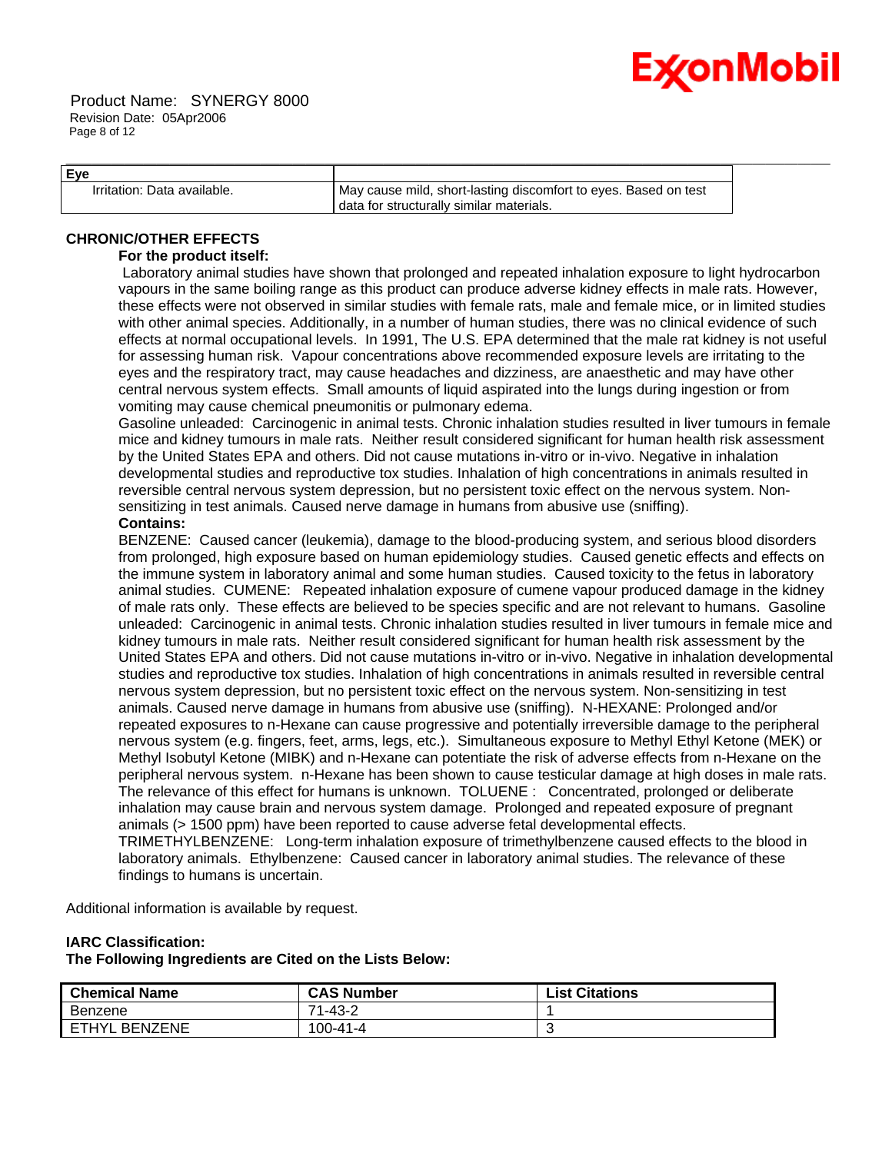

| Eve                         |                                                                   |  |
|-----------------------------|-------------------------------------------------------------------|--|
| Irritation: Data available. | I May cause mild, short-lasting discomfort to eyes. Based on test |  |
|                             | data for structurally similar materials.                          |  |

\_\_\_\_\_\_\_\_\_\_\_\_\_\_\_\_\_\_\_\_\_\_\_\_\_\_\_\_\_\_\_\_\_\_\_\_\_\_\_\_\_\_\_\_\_\_\_\_\_\_\_\_\_\_\_\_\_\_\_\_\_\_\_\_\_\_\_\_\_\_\_\_\_\_\_\_\_\_\_\_\_\_\_\_\_\_\_\_\_\_\_\_\_\_\_\_\_\_\_\_\_\_\_\_\_\_\_\_\_\_\_\_\_\_\_\_\_\_

# **CHRONIC/OTHER EFFECTS**

# **For the product itself:**

 Laboratory animal studies have shown that prolonged and repeated inhalation exposure to light hydrocarbon vapours in the same boiling range as this product can produce adverse kidney effects in male rats. However, these effects were not observed in similar studies with female rats, male and female mice, or in limited studies with other animal species. Additionally, in a number of human studies, there was no clinical evidence of such effects at normal occupational levels. In 1991, The U.S. EPA determined that the male rat kidney is not useful for assessing human risk. Vapour concentrations above recommended exposure levels are irritating to the eyes and the respiratory tract, may cause headaches and dizziness, are anaesthetic and may have other central nervous system effects. Small amounts of liquid aspirated into the lungs during ingestion or from vomiting may cause chemical pneumonitis or pulmonary edema.

Gasoline unleaded: Carcinogenic in animal tests. Chronic inhalation studies resulted in liver tumours in female mice and kidney tumours in male rats. Neither result considered significant for human health risk assessment by the United States EPA and others. Did not cause mutations in-vitro or in-vivo. Negative in inhalation developmental studies and reproductive tox studies. Inhalation of high concentrations in animals resulted in reversible central nervous system depression, but no persistent toxic effect on the nervous system. Nonsensitizing in test animals. Caused nerve damage in humans from abusive use (sniffing). **Contains:** 

BENZENE: Caused cancer (leukemia), damage to the blood-producing system, and serious blood disorders from prolonged, high exposure based on human epidemiology studies. Caused genetic effects and effects on the immune system in laboratory animal and some human studies. Caused toxicity to the fetus in laboratory animal studies. CUMENE: Repeated inhalation exposure of cumene vapour produced damage in the kidney of male rats only. These effects are believed to be species specific and are not relevant to humans. Gasoline unleaded: Carcinogenic in animal tests. Chronic inhalation studies resulted in liver tumours in female mice and kidney tumours in male rats. Neither result considered significant for human health risk assessment by the United States EPA and others. Did not cause mutations in-vitro or in-vivo. Negative in inhalation developmental studies and reproductive tox studies. Inhalation of high concentrations in animals resulted in reversible central nervous system depression, but no persistent toxic effect on the nervous system. Non-sensitizing in test animals. Caused nerve damage in humans from abusive use (sniffing). N-HEXANE: Prolonged and/or repeated exposures to n-Hexane can cause progressive and potentially irreversible damage to the peripheral nervous system (e.g. fingers, feet, arms, legs, etc.). Simultaneous exposure to Methyl Ethyl Ketone (MEK) or Methyl Isobutyl Ketone (MIBK) and n-Hexane can potentiate the risk of adverse effects from n-Hexane on the peripheral nervous system. n-Hexane has been shown to cause testicular damage at high doses in male rats. The relevance of this effect for humans is unknown. TOLUENE : Concentrated, prolonged or deliberate inhalation may cause brain and nervous system damage. Prolonged and repeated exposure of pregnant animals (> 1500 ppm) have been reported to cause adverse fetal developmental effects. TRIMETHYLBENZENE: Long-term inhalation exposure of trimethylbenzene caused effects to the blood in laboratory animals. Ethylbenzene: Caused cancer in laboratory animal studies. The relevance of these findings to humans is uncertain.

Additional information is available by request.

# **IARC Classification:**

**The Following Ingredients are Cited on the Lists Below:**

| <b>Chemical Name</b> | <b>CAS Number</b> | <b>List Citations</b> |
|----------------------|-------------------|-----------------------|
| <b>Benzene</b>       | 71-43-2           |                       |
| FTHYL<br>. BENZENE   | $100 - 41 - 4$    |                       |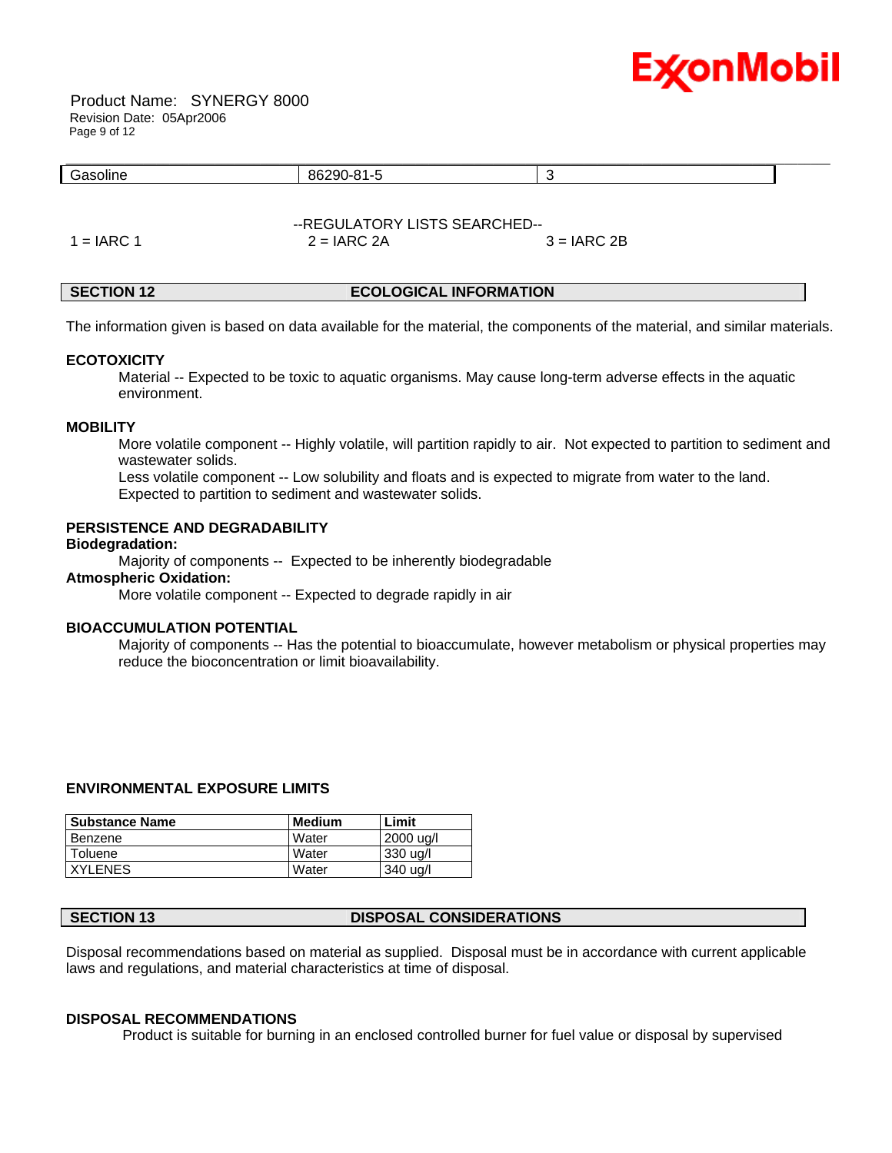

 Product Name: SYNERGY 8000 Revision Date: 05Apr2006 Page 9 of 12

| Gasoline     | 86290-81-5                    | ت            |  |
|--------------|-------------------------------|--------------|--|
|              |                               |              |  |
|              | --REGULATORY LISTS SEARCHED-- |              |  |
| $1 = IARC 1$ | $2 = IARC 2A$                 | $3 = IARC2B$ |  |
|              |                               |              |  |
|              |                               |              |  |

The information given is based on data available for the material, the components of the material, and similar materials.

### **ECOTOXICITY**

 Material -- Expected to be toxic to aquatic organisms. May cause long-term adverse effects in the aquatic environment.

### **MOBILITY**

 More volatile component -- Highly volatile, will partition rapidly to air. Not expected to partition to sediment and wastewater solids.

Less volatile component -- Low solubility and floats and is expected to migrate from water to the land. Expected to partition to sediment and wastewater solids.

# **PERSISTENCE AND DEGRADABILITY**

# **Biodegradation:**

Majority of components -- Expected to be inherently biodegradable

# **Atmospheric Oxidation:**

More volatile component -- Expected to degrade rapidly in air

**SECTION 12 ECOLOGICAL INFORMATION** 

# **BIOACCUMULATION POTENTIAL**

 Majority of components -- Has the potential to bioaccumulate, however metabolism or physical properties may reduce the bioconcentration or limit bioavailability.

### **ENVIRONMENTAL EXPOSURE LIMITS**

| <b>Substance Name</b> | <b>Medium</b> | Limit     |
|-----------------------|---------------|-----------|
| Benzene               | <b>Water</b>  | 2000 ua/l |
| Toluene               | <b>Water</b>  | 330 ua/l  |
| <b>XYLENES</b>        | Water         | 340 ua/l  |

### **SECTION 13 DISPOSAL CONSIDERATIONS**

Disposal recommendations based on material as supplied. Disposal must be in accordance with current applicable laws and regulations, and material characteristics at time of disposal.

### **DISPOSAL RECOMMENDATIONS**

Product is suitable for burning in an enclosed controlled burner for fuel value or disposal by supervised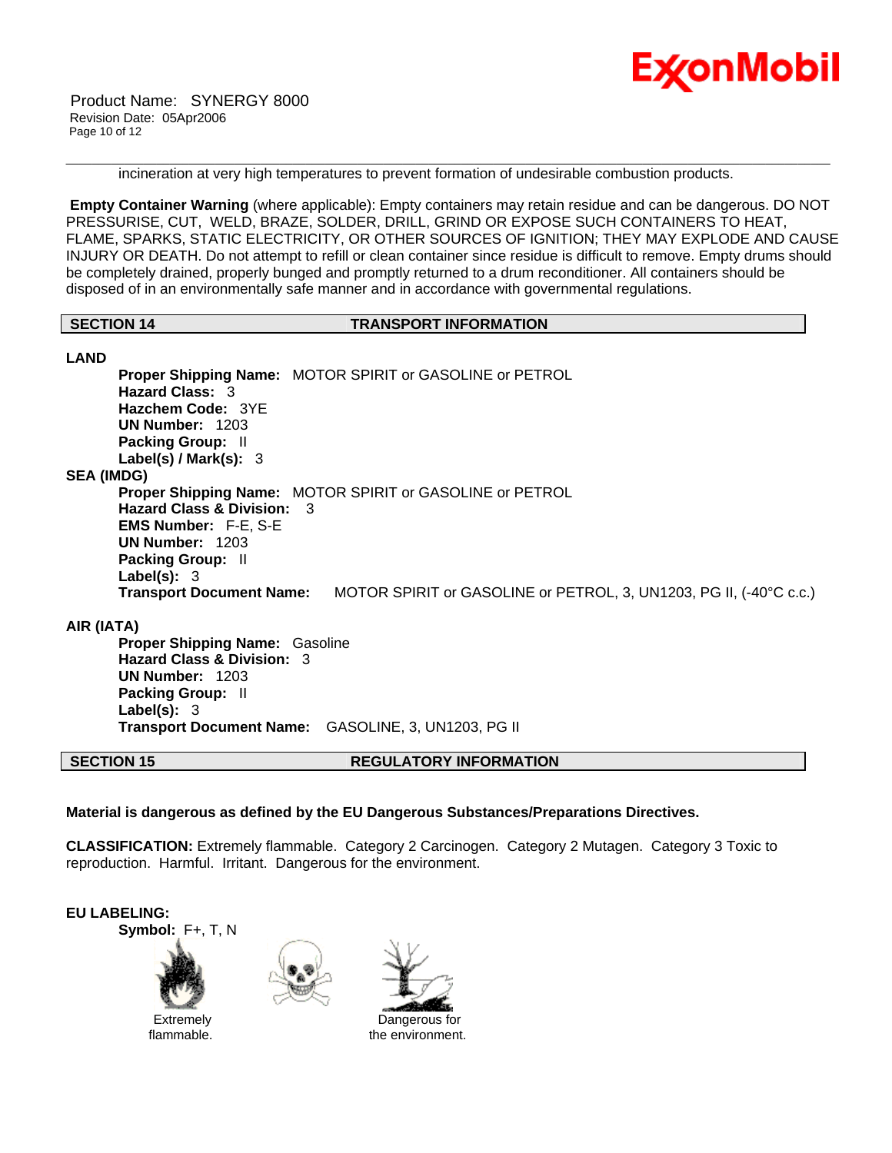



incineration at very high temperatures to prevent formation of undesirable combustion products.

**Empty Container Warning** (where applicable): Empty containers may retain residue and can be dangerous. DO NOT PRESSURISE, CUT, WELD, BRAZE, SOLDER, DRILL, GRIND OR EXPOSE SUCH CONTAINERS TO HEAT, FLAME, SPARKS, STATIC ELECTRICITY, OR OTHER SOURCES OF IGNITION; THEY MAY EXPLODE AND CAUSE INJURY OR DEATH. Do not attempt to refill or clean container since residue is difficult to remove. Empty drums should be completely drained, properly bunged and promptly returned to a drum reconditioner. All containers should be disposed of in an environmentally safe manner and in accordance with governmental regulations.

\_\_\_\_\_\_\_\_\_\_\_\_\_\_\_\_\_\_\_\_\_\_\_\_\_\_\_\_\_\_\_\_\_\_\_\_\_\_\_\_\_\_\_\_\_\_\_\_\_\_\_\_\_\_\_\_\_\_\_\_\_\_\_\_\_\_\_\_\_\_\_\_\_\_\_\_\_\_\_\_\_\_\_\_\_\_\_\_\_\_\_\_\_\_\_\_\_\_\_\_\_\_\_\_\_\_\_\_\_\_\_\_\_\_\_\_\_\_

#### **SECTION 14 TRANSPORT INFORMATION**

**LAND**

**Proper Shipping Name:** MOTOR SPIRIT or GASOLINE or PETROL **Hazard Class:** 3 **Hazchem Code:** 3YE **UN Number:** 1203 **Packing Group:** II **Label(s) / Mark(s):** 3 **SEA (IMDG) Proper Shipping Name:** MOTOR SPIRIT or GASOLINE or PETROL **Hazard Class & Division:** 3 **EMS Number:** F-E, S-E **UN Number:** 1203 **Packing Group:** II **Label(s):** 3 **Transport Document Name:** MOTOR SPIRIT or GASOLINE or PETROL, 3, UN1203, PG II, (-40°C c.c.)

**AIR (IATA)**

**Proper Shipping Name:** Gasoline **Hazard Class & Division:** 3 **UN Number:** 1203 **Packing Group:** II **Label(s):** 3 **Transport Document Name:** GASOLINE, 3, UN1203, PG II

# **SECTION 15 REGULATORY INFORMATION**

### **Material is dangerous as defined by the EU Dangerous Substances/Preparations Directives.**

**CLASSIFICATION:** Extremely flammable. Category 2 Carcinogen. Category 2 Mutagen. Category 3 Toxic to reproduction. Harmful. Irritant. Dangerous for the environment.

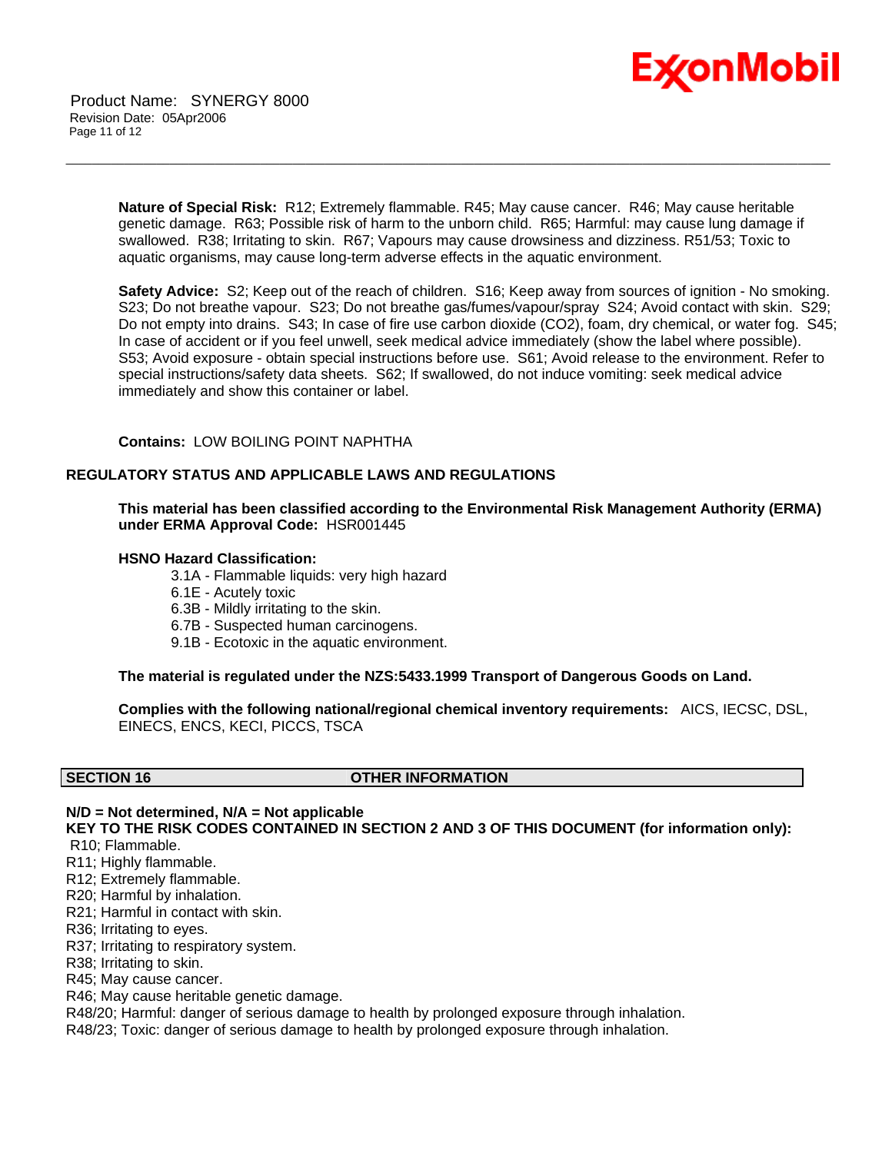

**Nature of Special Risk:** R12; Extremely flammable. R45; May cause cancer. R46; May cause heritable genetic damage. R63; Possible risk of harm to the unborn child. R65; Harmful: may cause lung damage if swallowed. R38; Irritating to skin. R67; Vapours may cause drowsiness and dizziness. R51/53; Toxic to aquatic organisms, may cause long-term adverse effects in the aquatic environment.

\_\_\_\_\_\_\_\_\_\_\_\_\_\_\_\_\_\_\_\_\_\_\_\_\_\_\_\_\_\_\_\_\_\_\_\_\_\_\_\_\_\_\_\_\_\_\_\_\_\_\_\_\_\_\_\_\_\_\_\_\_\_\_\_\_\_\_\_\_\_\_\_\_\_\_\_\_\_\_\_\_\_\_\_\_\_\_\_\_\_\_\_\_\_\_\_\_\_\_\_\_\_\_\_\_\_\_\_\_\_\_\_\_\_\_\_\_\_

**Safety Advice:** S2; Keep out of the reach of children. S16; Keep away from sources of ignition - No smoking. S23; Do not breathe vapour. S23; Do not breathe gas/fumes/vapour/spray S24; Avoid contact with skin. S29; Do not empty into drains. S43; In case of fire use carbon dioxide (CO2), foam, dry chemical, or water fog. S45; In case of accident or if you feel unwell, seek medical advice immediately (show the label where possible). S53; Avoid exposure - obtain special instructions before use. S61; Avoid release to the environment. Refer to special instructions/safety data sheets. S62; If swallowed, do not induce vomiting: seek medical advice immediately and show this container or label.

**Contains:** LOW BOILING POINT NAPHTHA

# **REGULATORY STATUS AND APPLICABLE LAWS AND REGULATIONS**

**This material has been classified according to the Environmental Risk Management Authority (ERMA) under ERMA Approval Code:** HSR001445

### **HSNO Hazard Classification:**

- 3.1A Flammable liquids: very high hazard
- 6.1E Acutely toxic
- 6.3B Mildly irritating to the skin.
- 6.7B Suspected human carcinogens.
- 9.1B Ecotoxic in the aquatic environment.

### **The material is regulated under the NZS:5433.1999 Transport of Dangerous Goods on Land.**

**Complies with the following national/regional chemical inventory requirements:** AICS, IECSC, DSL, EINECS, ENCS, KECI, PICCS, TSCA

# **SECTION 16 OTHER INFORMATION**

**N/D = Not determined, N/A = Not applicable KEY TO THE RISK CODES CONTAINED IN SECTION 2 AND 3 OF THIS DOCUMENT (for information only):**

R10; Flammable.

- R11; Highly flammable.
- R12; Extremely flammable.
- R20; Harmful by inhalation.
- R21; Harmful in contact with skin.
- R36; Irritating to eyes.
- R37; Irritating to respiratory system.
- R38; Irritating to skin.
- R45; May cause cancer.

R46; May cause heritable genetic damage.

R48/20; Harmful: danger of serious damage to health by prolonged exposure through inhalation.

R48/23; Toxic: danger of serious damage to health by prolonged exposure through inhalation.